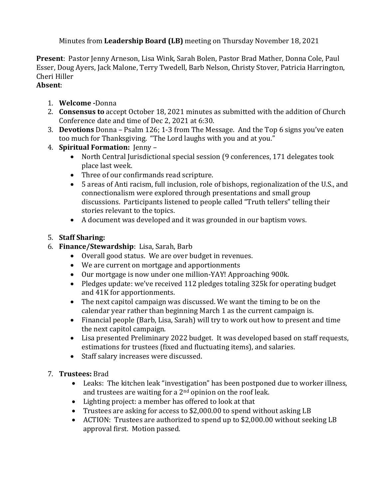Minutes from **Leadership Board (LB)** meeting on Thursday November 18, 2021

**Present**: Pastor Jenny Arneson, Lisa Wink, Sarah Bolen, Pastor Brad Mather, Donna Cole, Paul Esser, Doug Ayers, Jack Malone, Terry Twedell, Barb Nelson, Christy Stover, Patricia Harrington, Cheri Hiller

## **Absent**:

- 1. **Welcome -**Donna
- 2. **Consensus to** accept October 18, 2021 minutes as submitted with the addition of Church Conference date and time of Dec 2, 2021 at 6:30.
- 3. **Devotions** Donna Psalm 126; 1-3 from The Message. And the Top 6 signs you've eaten too much for Thanksgiving. "The Lord laughs with you and at you."
- 4. **Spiritual Formation:** Jenny
	- North Central Jurisdictional special session (9 conferences, 171 delegates took place last week.
	- Three of our confirmands read scripture.
	- 5 areas of Anti racism, full inclusion, role of bishops, regionalization of the U.S., and connectionalism were explored through presentations and small group discussions. Participants listened to people called "Truth tellers" telling their stories relevant to the topics.
	- A document was developed and it was grounded in our baptism vows.

## 5. **Staff Sharing:**

- 6. **Finance/Stewardship**: Lisa, Sarah, Barb
	- Overall good status. We are over budget in revenues.
	- We are current on mortgage and apportionments
	- Our mortgage is now under one million-YAY! Approaching 900k.
	- Pledges update: we've received 112 pledges totaling 325k for operating budget and 41K for apportionments.
	- The next capitol campaign was discussed. We want the timing to be on the calendar year rather than beginning March 1 as the current campaign is.
	- Financial people (Barb, Lisa, Sarah) will try to work out how to present and time the next capitol campaign.
	- Lisa presented Preliminary 2022 budget. It was developed based on staff requests, estimations for trustees (fixed and fluctuating items), and salaries.
	- Staff salary increases were discussed.
- 7. **Trustees:** Brad
	- Leaks: The kitchen leak "investigation" has been postponed due to worker illness, and trustees are waiting for a  $2<sup>nd</sup>$  opinion on the roof leak.
	- Lighting project: a member has offered to look at that
	- Trustees are asking for access to \$2,000.00 to spend without asking LB
	- ACTION: Trustees are authorized to spend up to \$2,000.00 without seeking LB approval first. Motion passed.